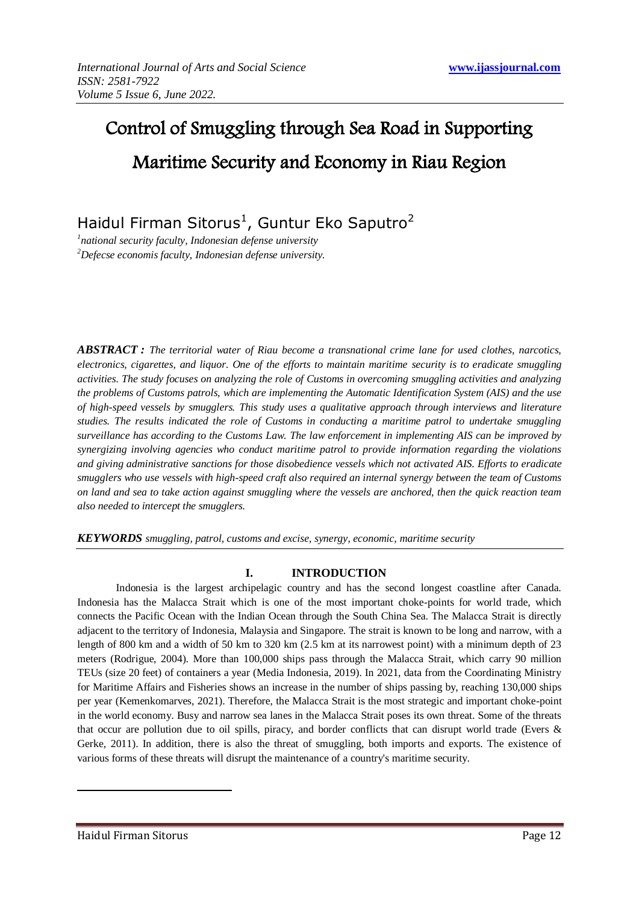# Control of Smuggling through Sea Road in Supporting Maritime Security and Economy in Riau Region

Haidul Firman Sitorus<sup>1</sup>, Guntur Eko Saputro<sup>2</sup>

*1 national security faculty, Indonesian defense university <sup>2</sup>Defecse economis faculty, Indonesian defense university.* 

*ABSTRACT : The territorial water of Riau become a transnational crime lane for used clothes, narcotics, electronics, cigarettes, and liquor. One of the efforts to maintain maritime security is to eradicate smuggling activities. The study focuses on analyzing the role of Customs in overcoming smuggling activities and analyzing the problems of Customs patrols, which are implementing the Automatic Identification System (AIS) and the use of high-speed vessels by smugglers. This study uses a qualitative approach through interviews and literature studies. The results indicated the role of Customs in conducting a maritime patrol to undertake smuggling surveillance has according to the Customs Law. The law enforcement in implementing AIS can be improved by synergizing involving agencies who conduct maritime patrol to provide information regarding the violations and giving administrative sanctions for those disobedience vessels which not activated AIS. Efforts to eradicate smugglers who use vessels with high-speed craft also required an internal synergy between the team of Customs on land and sea to take action against smuggling where the vessels are anchored, then the quick reaction team also needed to intercept the smugglers.*

*KEYWORDS smuggling, patrol, customs and excise, synergy, economic, maritime security*

# **I. INTRODUCTION**

Indonesia is the largest archipelagic country and has the second longest coastline after Canada. Indonesia has the Malacca Strait which is one of the most important choke-points for world trade, which connects the Pacific Ocean with the Indian Ocean through the South China Sea. The Malacca Strait is directly adjacent to the territory of Indonesia, Malaysia and Singapore. The strait is known to be long and narrow, with a length of 800 km and a width of 50 km to 320 km (2.5 km at its narrowest point) with a minimum depth of 23 meters (Rodrigue, 2004). More than 100,000 ships pass through the Malacca Strait, which carry 90 million TEUs (size 20 feet) of containers a year (Media Indonesia, 2019). In 2021, data from the Coordinating Ministry for Maritime Affairs and Fisheries shows an increase in the number of ships passing by, reaching 130,000 ships per year (Kemenkomarves, 2021). Therefore, the Malacca Strait is the most strategic and important choke-point in the world economy. Busy and narrow sea lanes in the Malacca Strait poses its own threat. Some of the threats that occur are pollution due to oil spills, piracy, and border conflicts that can disrupt world trade (Evers & Gerke, 2011). In addition, there is also the threat of smuggling, both imports and exports. The existence of various forms of these threats will disrupt the maintenance of a country's maritime security.

**.**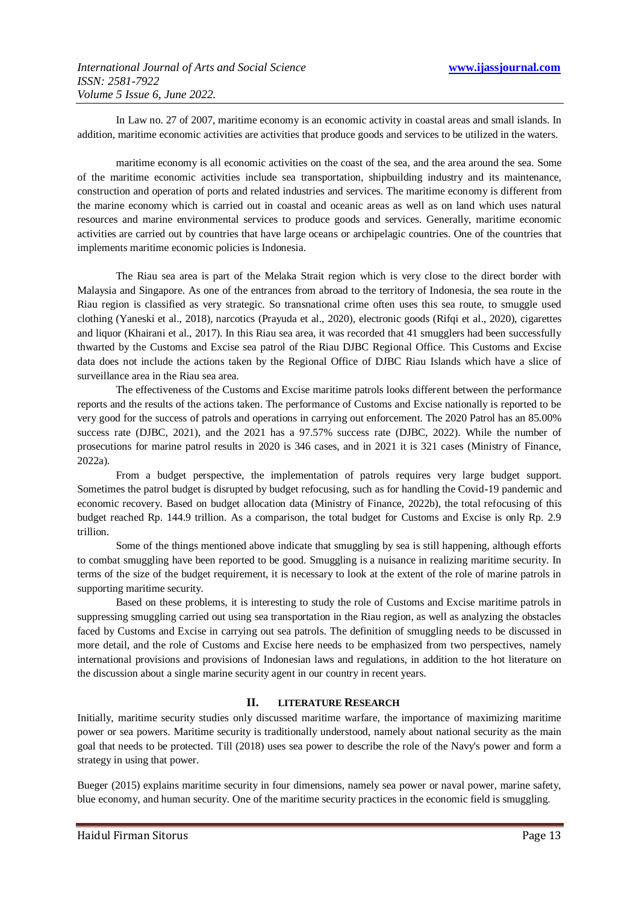In Law no. 27 of 2007, maritime economy is an economic activity in coastal areas and small islands. In addition, maritime economic activities are activities that produce goods and services to be utilized in the waters.

maritime economy is all economic activities on the coast of the sea, and the area around the sea. Some of the maritime economic activities include sea transportation, shipbuilding industry and its maintenance, construction and operation of ports and related industries and services. The maritime economy is different from the marine economy which is carried out in coastal and oceanic areas as well as on land which uses natural resources and marine environmental services to produce goods and services. Generally, maritime economic activities are carried out by countries that have large oceans or archipelagic countries. One of the countries that implements maritime economic policies is Indonesia.

The Riau sea area is part of the Melaka Strait region which is very close to the direct border with Malaysia and Singapore. As one of the entrances from abroad to the territory of Indonesia, the sea route in the Riau region is classified as very strategic. So transnational crime often uses this sea route, to smuggle used clothing (Yaneski et al., 2018), narcotics (Prayuda et al., 2020), electronic goods (Rifqi et al., 2020), cigarettes and liquor (Khairani et al., 2017). In this Riau sea area, it was recorded that 41 smugglers had been successfully thwarted by the Customs and Excise sea patrol of the Riau DJBC Regional Office. This Customs and Excise data does not include the actions taken by the Regional Office of DJBC Riau Islands which have a slice of surveillance area in the Riau sea area.

The effectiveness of the Customs and Excise maritime patrols looks different between the performance reports and the results of the actions taken. The performance of Customs and Excise nationally is reported to be very good for the success of patrols and operations in carrying out enforcement. The 2020 Patrol has an 85.00% success rate (DJBC, 2021), and the 2021 has a 97.57% success rate (DJBC, 2022). While the number of prosecutions for marine patrol results in 2020 is 346 cases, and in 2021 it is 321 cases (Ministry of Finance, 2022a).

From a budget perspective, the implementation of patrols requires very large budget support. Sometimes the patrol budget is disrupted by budget refocusing, such as for handling the Covid-19 pandemic and economic recovery. Based on budget allocation data (Ministry of Finance, 2022b), the total refocusing of this budget reached Rp. 144.9 trillion. As a comparison, the total budget for Customs and Excise is only Rp. 2.9 trillion.

Some of the things mentioned above indicate that smuggling by sea is still happening, although efforts to combat smuggling have been reported to be good. Smuggling is a nuisance in realizing maritime security. In terms of the size of the budget requirement, it is necessary to look at the extent of the role of marine patrols in supporting maritime security.

Based on these problems, it is interesting to study the role of Customs and Excise maritime patrols in suppressing smuggling carried out using sea transportation in the Riau region, as well as analyzing the obstacles faced by Customs and Excise in carrying out sea patrols. The definition of smuggling needs to be discussed in more detail, and the role of Customs and Excise here needs to be emphasized from two perspectives, namely international provisions and provisions of Indonesian laws and regulations, in addition to the hot literature on the discussion about a single marine security agent in our country in recent years.

## **II. LITERATURE RESEARCH**

Initially, maritime security studies only discussed maritime warfare, the importance of maximizing maritime power or sea powers. Maritime security is traditionally understood, namely about national security as the main goal that needs to be protected. Till (2018) uses sea power to describe the role of the Navy's power and form a strategy in using that power.

Bueger (2015) explains maritime security in four dimensions, namely sea power or naval power, marine safety, blue economy, and human security. One of the maritime security practices in the economic field is smuggling.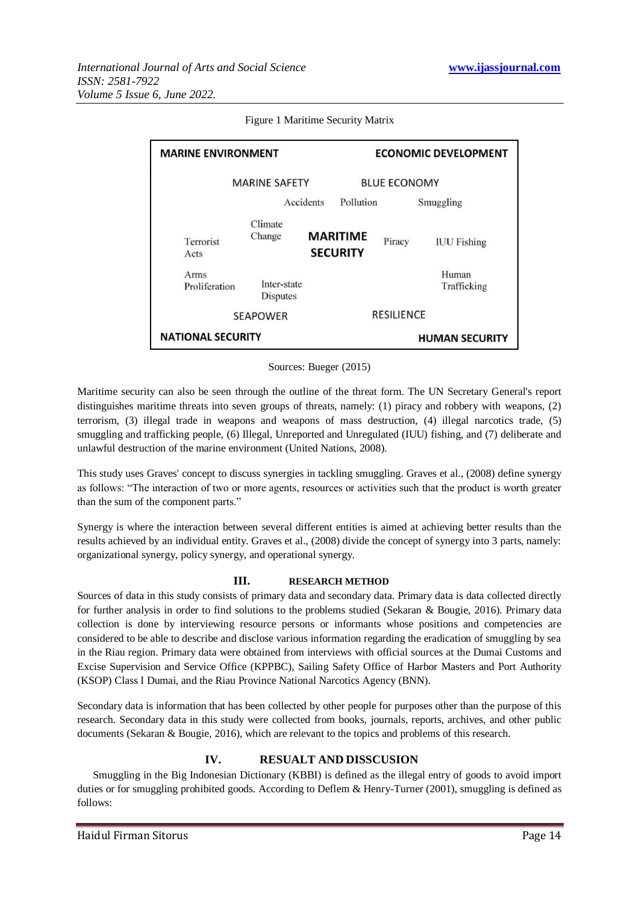| <b>MARINE ENVIRONMENT</b>                  |                                              |                                    | <b>ECONOMIC DEVELOPMENT</b> |        |                                            |
|--------------------------------------------|----------------------------------------------|------------------------------------|-----------------------------|--------|--------------------------------------------|
| <b>MARINE SAFETY</b>                       |                                              |                                    | <b>BLUE ECONOMY</b>         |        |                                            |
|                                            | Accidents                                    |                                    | Pollution                   |        | Smuggling                                  |
| Terrorist<br>Acts<br>Arms<br>Proliferation | Climate<br>Change<br>Inter-state<br>Disputes | <b>MARITIME</b><br><b>SECURITY</b> |                             | Piracy | <b>IUU</b> Fishing<br>Human<br>Trafficking |
| <b>SEAPOWER</b>                            |                                              |                                    | <b>RESILIENCE</b>           |        |                                            |
| <b>NATIONAL SECURITY</b>                   |                                              |                                    | <b>HUMAN SECURITY</b>       |        |                                            |

Figure 1 Maritime Security Matrix

Sources: Bueger (2015)

Maritime security can also be seen through the outline of the threat form. The UN Secretary General's report distinguishes maritime threats into seven groups of threats, namely: (1) piracy and robbery with weapons, (2) terrorism, (3) illegal trade in weapons and weapons of mass destruction, (4) illegal narcotics trade, (5) smuggling and trafficking people, (6) Illegal, Unreported and Unregulated (IUU) fishing, and (7) deliberate and unlawful destruction of the marine environment (United Nations, 2008).

This study uses Graves' concept to discuss synergies in tackling smuggling. Graves et al., (2008) define synergy as follows: "The interaction of two or more agents, resources or activities such that the product is worth greater than the sum of the component parts."

Synergy is where the interaction between several different entities is aimed at achieving better results than the results achieved by an individual entity. Graves et al., (2008) divide the concept of synergy into 3 parts, namely: organizational synergy, policy synergy, and operational synergy.

#### **III. RESEARCH METHOD**

Sources of data in this study consists of primary data and secondary data. Primary data is data collected directly for further analysis in order to find solutions to the problems studied (Sekaran & Bougie, 2016). Primary data collection is done by interviewing resource persons or informants whose positions and competencies are considered to be able to describe and disclose various information regarding the eradication of smuggling by sea in the Riau region. Primary data were obtained from interviews with official sources at the Dumai Customs and Excise Supervision and Service Office (KPPBC), Sailing Safety Office of Harbor Masters and Port Authority (KSOP) Class I Dumai, and the Riau Province National Narcotics Agency (BNN).

Secondary data is information that has been collected by other people for purposes other than the purpose of this research. Secondary data in this study were collected from books, journals, reports, archives, and other public documents (Sekaran & Bougie, 2016), which are relevant to the topics and problems of this research.

### **IV. RESUALT AND DISSCUSION**

Smuggling in the Big Indonesian Dictionary (KBBI) is defined as the illegal entry of goods to avoid import duties or for smuggling prohibited goods. According to Deflem & Henry-Turner (2001), smuggling is defined as follows: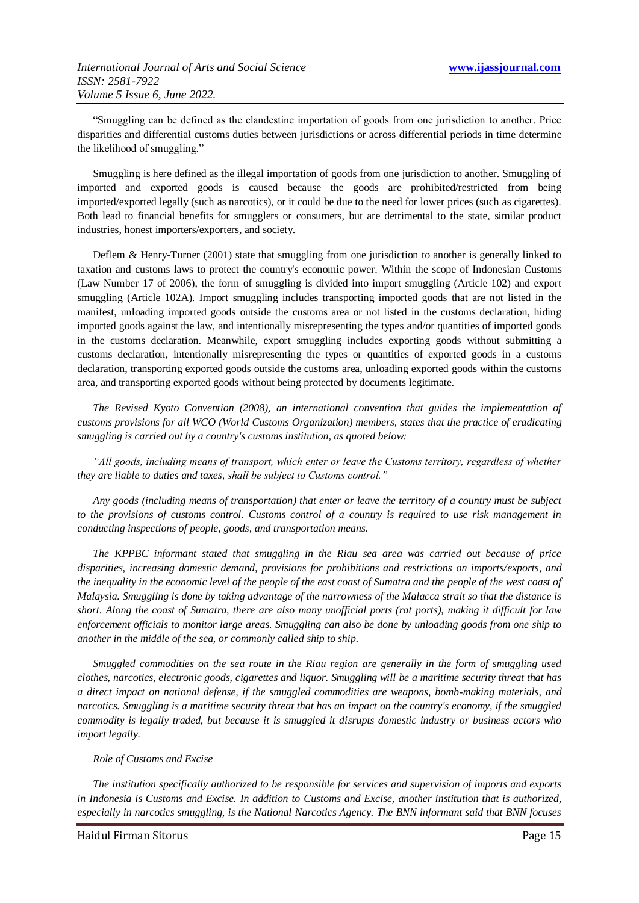"Smuggling can be defined as the clandestine importation of goods from one jurisdiction to another. Price disparities and differential customs duties between jurisdictions or across differential periods in time determine the likelihood of smuggling."

Smuggling is here defined as the illegal importation of goods from one jurisdiction to another. Smuggling of imported and exported goods is caused because the goods are prohibited/restricted from being imported/exported legally (such as narcotics), or it could be due to the need for lower prices (such as cigarettes). Both lead to financial benefits for smugglers or consumers, but are detrimental to the state, similar product industries, honest importers/exporters, and society.

Deflem & Henry-Turner (2001) state that smuggling from one jurisdiction to another is generally linked to taxation and customs laws to protect the country's economic power. Within the scope of Indonesian Customs (Law Number 17 of 2006), the form of smuggling is divided into import smuggling (Article 102) and export smuggling (Article 102A). Import smuggling includes transporting imported goods that are not listed in the manifest, unloading imported goods outside the customs area or not listed in the customs declaration, hiding imported goods against the law, and intentionally misrepresenting the types and/or quantities of imported goods in the customs declaration. Meanwhile, export smuggling includes exporting goods without submitting a customs declaration, intentionally misrepresenting the types or quantities of exported goods in a customs declaration, transporting exported goods outside the customs area, unloading exported goods within the customs area, and transporting exported goods without being protected by documents legitimate.

*The Revised Kyoto Convention (2008), an international convention that guides the implementation of customs provisions for all WCO (World Customs Organization) members, states that the practice of eradicating smuggling is carried out by a country's customs institution, as quoted below:*

*"All goods, including means of transport, which enter or leave the Customs territory, regardless of whether they are liable to duties and taxes, shall be subject to Customs control."*

*Any goods (including means of transportation) that enter or leave the territory of a country must be subject to the provisions of customs control. Customs control of a country is required to use risk management in conducting inspections of people, goods, and transportation means.*

*The KPPBC informant stated that smuggling in the Riau sea area was carried out because of price disparities, increasing domestic demand, provisions for prohibitions and restrictions on imports/exports, and the inequality in the economic level of the people of the east coast of Sumatra and the people of the west coast of Malaysia. Smuggling is done by taking advantage of the narrowness of the Malacca strait so that the distance is short. Along the coast of Sumatra, there are also many unofficial ports (rat ports), making it difficult for law enforcement officials to monitor large areas. Smuggling can also be done by unloading goods from one ship to another in the middle of the sea, or commonly called ship to ship.*

*Smuggled commodities on the sea route in the Riau region are generally in the form of smuggling used clothes, narcotics, electronic goods, cigarettes and liquor. Smuggling will be a maritime security threat that has a direct impact on national defense, if the smuggled commodities are weapons, bomb-making materials, and narcotics. Smuggling is a maritime security threat that has an impact on the country's economy, if the smuggled commodity is legally traded, but because it is smuggled it disrupts domestic industry or business actors who import legally.*

#### *Role of Customs and Excise*

*The institution specifically authorized to be responsible for services and supervision of imports and exports in Indonesia is Customs and Excise. In addition to Customs and Excise, another institution that is authorized, especially in narcotics smuggling, is the National Narcotics Agency. The BNN informant said that BNN focuses*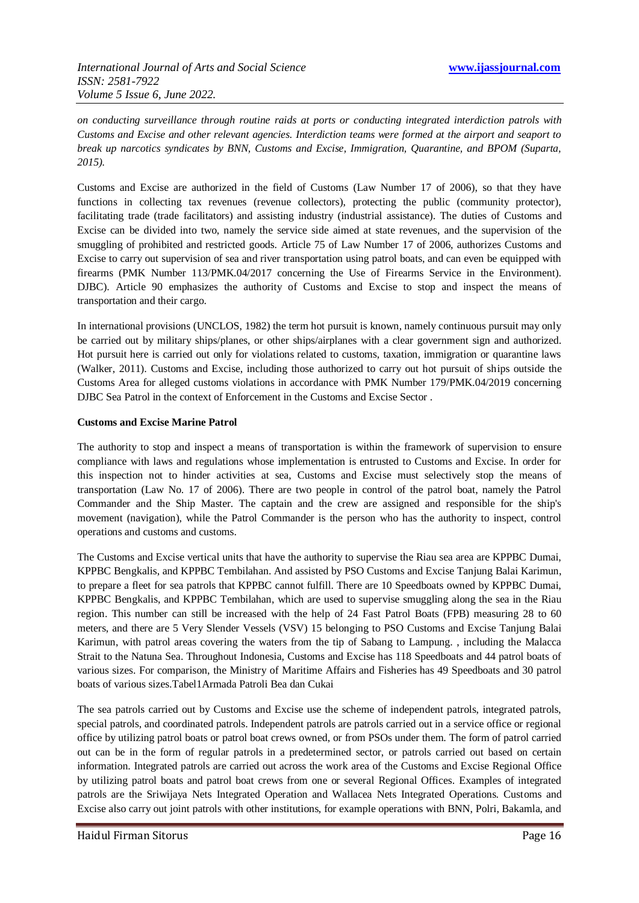*on conducting surveillance through routine raids at ports or conducting integrated interdiction patrols with Customs and Excise and other relevant agencies. Interdiction teams were formed at the airport and seaport to break up narcotics syndicates by BNN, Customs and Excise, Immigration, Quarantine, and BPOM (Suparta, 2015).*

Customs and Excise are authorized in the field of Customs (Law Number 17 of 2006), so that they have functions in collecting tax revenues (revenue collectors), protecting the public (community protector), facilitating trade (trade facilitators) and assisting industry (industrial assistance). The duties of Customs and Excise can be divided into two, namely the service side aimed at state revenues, and the supervision of the smuggling of prohibited and restricted goods. Article 75 of Law Number 17 of 2006, authorizes Customs and Excise to carry out supervision of sea and river transportation using patrol boats, and can even be equipped with firearms (PMK Number 113/PMK.04/2017 concerning the Use of Firearms Service in the Environment). DJBC). Article 90 emphasizes the authority of Customs and Excise to stop and inspect the means of transportation and their cargo.

In international provisions (UNCLOS, 1982) the term hot pursuit is known, namely continuous pursuit may only be carried out by military ships/planes, or other ships/airplanes with a clear government sign and authorized. Hot pursuit here is carried out only for violations related to customs, taxation, immigration or quarantine laws (Walker, 2011). Customs and Excise, including those authorized to carry out hot pursuit of ships outside the Customs Area for alleged customs violations in accordance with PMK Number 179/PMK.04/2019 concerning DJBC Sea Patrol in the context of Enforcement in the Customs and Excise Sector .

### **Customs and Excise Marine Patrol**

The authority to stop and inspect a means of transportation is within the framework of supervision to ensure compliance with laws and regulations whose implementation is entrusted to Customs and Excise. In order for this inspection not to hinder activities at sea, Customs and Excise must selectively stop the means of transportation (Law No. 17 of 2006). There are two people in control of the patrol boat, namely the Patrol Commander and the Ship Master. The captain and the crew are assigned and responsible for the ship's movement (navigation), while the Patrol Commander is the person who has the authority to inspect, control operations and customs and customs.

The Customs and Excise vertical units that have the authority to supervise the Riau sea area are KPPBC Dumai, KPPBC Bengkalis, and KPPBC Tembilahan. And assisted by PSO Customs and Excise Tanjung Balai Karimun, to prepare a fleet for sea patrols that KPPBC cannot fulfill. There are 10 Speedboats owned by KPPBC Dumai, KPPBC Bengkalis, and KPPBC Tembilahan, which are used to supervise smuggling along the sea in the Riau region. This number can still be increased with the help of 24 Fast Patrol Boats (FPB) measuring 28 to 60 meters, and there are 5 Very Slender Vessels (VSV) 15 belonging to PSO Customs and Excise Tanjung Balai Karimun, with patrol areas covering the waters from the tip of Sabang to Lampung. , including the Malacca Strait to the Natuna Sea. Throughout Indonesia, Customs and Excise has 118 Speedboats and 44 patrol boats of various sizes. For comparison, the Ministry of Maritime Affairs and Fisheries has 49 Speedboats and 30 patrol boats of various sizes.Tabel1Armada Patroli Bea dan Cukai

The sea patrols carried out by Customs and Excise use the scheme of independent patrols, integrated patrols, special patrols, and coordinated patrols. Independent patrols are patrols carried out in a service office or regional office by utilizing patrol boats or patrol boat crews owned, or from PSOs under them. The form of patrol carried out can be in the form of regular patrols in a predetermined sector, or patrols carried out based on certain information. Integrated patrols are carried out across the work area of the Customs and Excise Regional Office by utilizing patrol boats and patrol boat crews from one or several Regional Offices. Examples of integrated patrols are the Sriwijaya Nets Integrated Operation and Wallacea Nets Integrated Operations. Customs and Excise also carry out joint patrols with other institutions, for example operations with BNN, Polri, Bakamla, and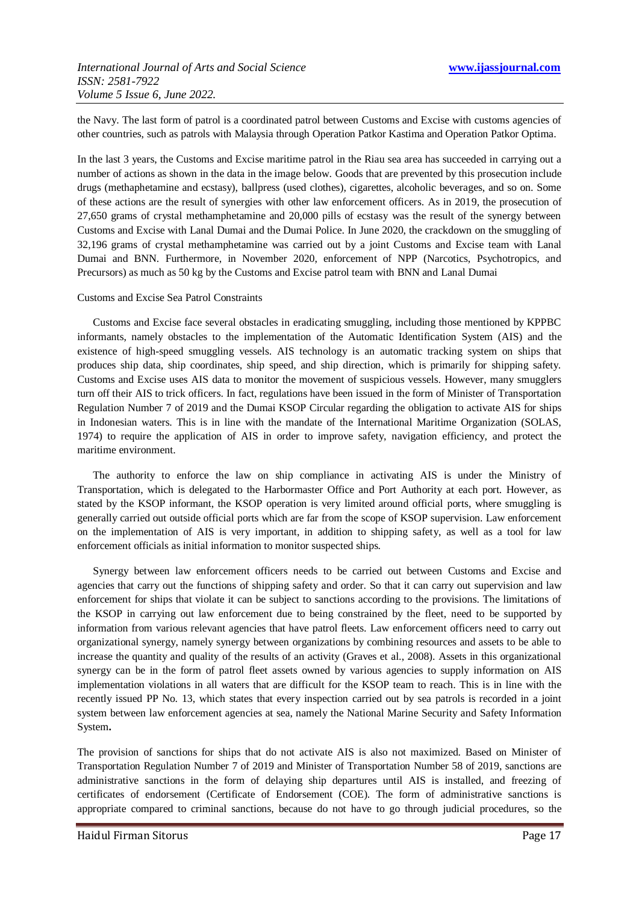the Navy. The last form of patrol is a coordinated patrol between Customs and Excise with customs agencies of other countries, such as patrols with Malaysia through Operation Patkor Kastima and Operation Patkor Optima.

In the last 3 years, the Customs and Excise maritime patrol in the Riau sea area has succeeded in carrying out a number of actions as shown in the data in the image below. Goods that are prevented by this prosecution include drugs (methaphetamine and ecstasy), ballpress (used clothes), cigarettes, alcoholic beverages, and so on. Some of these actions are the result of synergies with other law enforcement officers. As in 2019, the prosecution of 27,650 grams of crystal methamphetamine and 20,000 pills of ecstasy was the result of the synergy between Customs and Excise with Lanal Dumai and the Dumai Police. In June 2020, the crackdown on the smuggling of 32,196 grams of crystal methamphetamine was carried out by a joint Customs and Excise team with Lanal Dumai and BNN. Furthermore, in November 2020, enforcement of NPP (Narcotics, Psychotropics, and Precursors) as much as 50 kg by the Customs and Excise patrol team with BNN and Lanal Dumai

#### Customs and Excise Sea Patrol Constraints

Customs and Excise face several obstacles in eradicating smuggling, including those mentioned by KPPBC informants, namely obstacles to the implementation of the Automatic Identification System (AIS) and the existence of high-speed smuggling vessels. AIS technology is an automatic tracking system on ships that produces ship data, ship coordinates, ship speed, and ship direction, which is primarily for shipping safety. Customs and Excise uses AIS data to monitor the movement of suspicious vessels. However, many smugglers turn off their AIS to trick officers. In fact, regulations have been issued in the form of Minister of Transportation Regulation Number 7 of 2019 and the Dumai KSOP Circular regarding the obligation to activate AIS for ships in Indonesian waters. This is in line with the mandate of the International Maritime Organization (SOLAS, 1974) to require the application of AIS in order to improve safety, navigation efficiency, and protect the maritime environment.

The authority to enforce the law on ship compliance in activating AIS is under the Ministry of Transportation, which is delegated to the Harbormaster Office and Port Authority at each port. However, as stated by the KSOP informant, the KSOP operation is very limited around official ports, where smuggling is generally carried out outside official ports which are far from the scope of KSOP supervision. Law enforcement on the implementation of AIS is very important, in addition to shipping safety, as well as a tool for law enforcement officials as initial information to monitor suspected ships.

Synergy between law enforcement officers needs to be carried out between Customs and Excise and agencies that carry out the functions of shipping safety and order. So that it can carry out supervision and law enforcement for ships that violate it can be subject to sanctions according to the provisions. The limitations of the KSOP in carrying out law enforcement due to being constrained by the fleet, need to be supported by information from various relevant agencies that have patrol fleets. Law enforcement officers need to carry out organizational synergy, namely synergy between organizations by combining resources and assets to be able to increase the quantity and quality of the results of an activity (Graves et al., 2008). Assets in this organizational synergy can be in the form of patrol fleet assets owned by various agencies to supply information on AIS implementation violations in all waters that are difficult for the KSOP team to reach. This is in line with the recently issued PP No. 13, which states that every inspection carried out by sea patrols is recorded in a joint system between law enforcement agencies at sea, namely the National Marine Security and Safety Information System**.**

The provision of sanctions for ships that do not activate AIS is also not maximized. Based on Minister of Transportation Regulation Number 7 of 2019 and Minister of Transportation Number 58 of 2019, sanctions are administrative sanctions in the form of delaying ship departures until AIS is installed, and freezing of certificates of endorsement (Certificate of Endorsement (COE). The form of administrative sanctions is appropriate compared to criminal sanctions, because do not have to go through judicial procedures, so the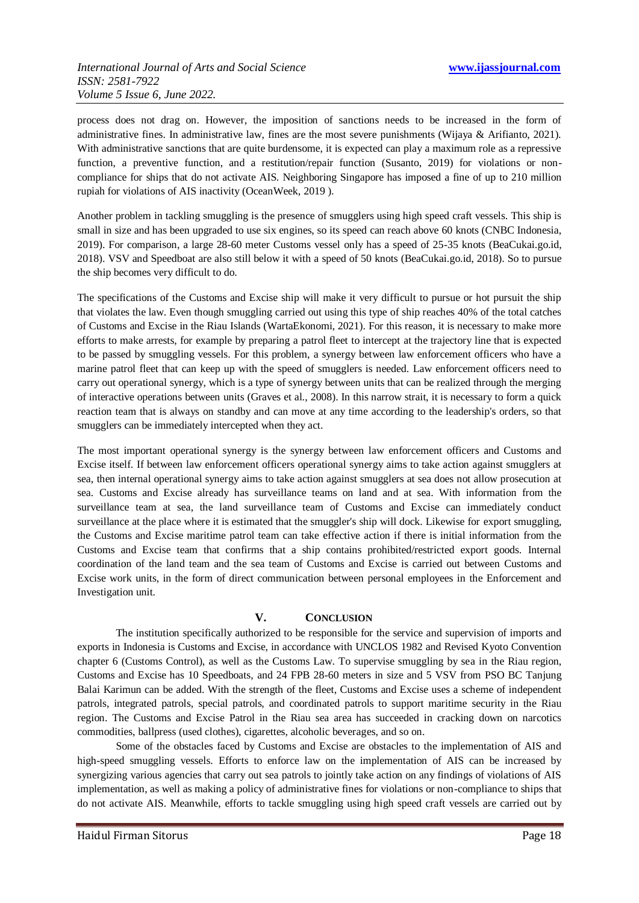process does not drag on. However, the imposition of sanctions needs to be increased in the form of administrative fines. In administrative law, fines are the most severe punishments (Wijaya & Arifianto, 2021). With administrative sanctions that are quite burdensome, it is expected can play a maximum role as a repressive function, a preventive function, and a restitution/repair function (Susanto, 2019) for violations or noncompliance for ships that do not activate AIS. Neighboring Singapore has imposed a fine of up to 210 million rupiah for violations of AIS inactivity (OceanWeek, 2019 ).

Another problem in tackling smuggling is the presence of smugglers using high speed craft vessels. This ship is small in size and has been upgraded to use six engines, so its speed can reach above 60 knots (CNBC Indonesia, 2019). For comparison, a large 28-60 meter Customs vessel only has a speed of 25-35 knots (BeaCukai.go.id, 2018). VSV and Speedboat are also still below it with a speed of 50 knots (BeaCukai.go.id, 2018). So to pursue the ship becomes very difficult to do.

The specifications of the Customs and Excise ship will make it very difficult to pursue or hot pursuit the ship that violates the law. Even though smuggling carried out using this type of ship reaches 40% of the total catches of Customs and Excise in the Riau Islands (WartaEkonomi, 2021). For this reason, it is necessary to make more efforts to make arrests, for example by preparing a patrol fleet to intercept at the trajectory line that is expected to be passed by smuggling vessels. For this problem, a synergy between law enforcement officers who have a marine patrol fleet that can keep up with the speed of smugglers is needed. Law enforcement officers need to carry out operational synergy, which is a type of synergy between units that can be realized through the merging of interactive operations between units (Graves et al., 2008). In this narrow strait, it is necessary to form a quick reaction team that is always on standby and can move at any time according to the leadership's orders, so that smugglers can be immediately intercepted when they act.

The most important operational synergy is the synergy between law enforcement officers and Customs and Excise itself. If between law enforcement officers operational synergy aims to take action against smugglers at sea, then internal operational synergy aims to take action against smugglers at sea does not allow prosecution at sea. Customs and Excise already has surveillance teams on land and at sea. With information from the surveillance team at sea, the land surveillance team of Customs and Excise can immediately conduct surveillance at the place where it is estimated that the smuggler's ship will dock. Likewise for export smuggling, the Customs and Excise maritime patrol team can take effective action if there is initial information from the Customs and Excise team that confirms that a ship contains prohibited/restricted export goods. Internal coordination of the land team and the sea team of Customs and Excise is carried out between Customs and Excise work units, in the form of direct communication between personal employees in the Enforcement and Investigation unit.

#### **V. CONCLUSION**

The institution specifically authorized to be responsible for the service and supervision of imports and exports in Indonesia is Customs and Excise, in accordance with UNCLOS 1982 and Revised Kyoto Convention chapter 6 (Customs Control), as well as the Customs Law. To supervise smuggling by sea in the Riau region, Customs and Excise has 10 Speedboats, and 24 FPB 28-60 meters in size and 5 VSV from PSO BC Tanjung Balai Karimun can be added. With the strength of the fleet, Customs and Excise uses a scheme of independent patrols, integrated patrols, special patrols, and coordinated patrols to support maritime security in the Riau region. The Customs and Excise Patrol in the Riau sea area has succeeded in cracking down on narcotics commodities, ballpress (used clothes), cigarettes, alcoholic beverages, and so on.

Some of the obstacles faced by Customs and Excise are obstacles to the implementation of AIS and high-speed smuggling vessels. Efforts to enforce law on the implementation of AIS can be increased by synergizing various agencies that carry out sea patrols to jointly take action on any findings of violations of AIS implementation, as well as making a policy of administrative fines for violations or non-compliance to ships that do not activate AIS. Meanwhile, efforts to tackle smuggling using high speed craft vessels are carried out by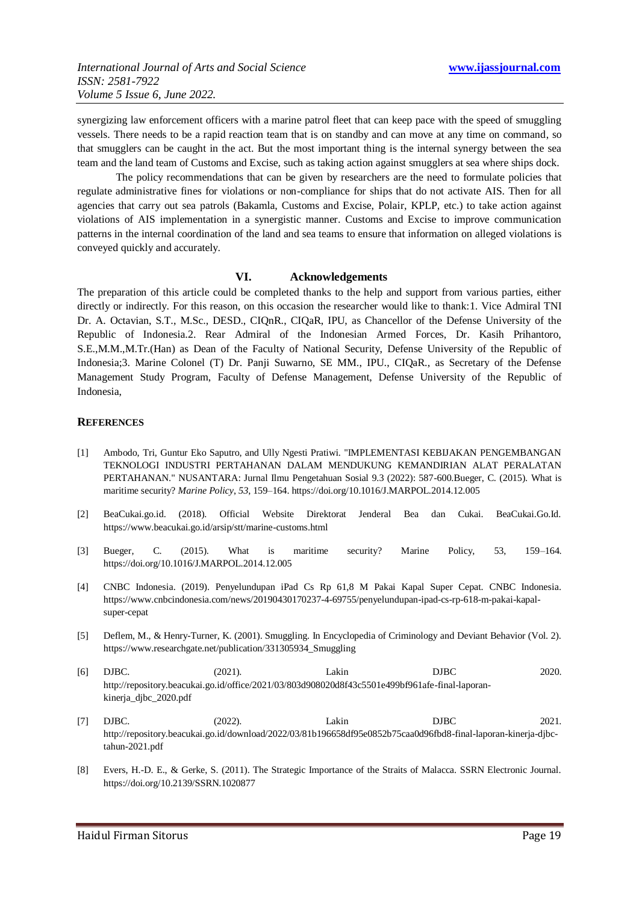synergizing law enforcement officers with a marine patrol fleet that can keep pace with the speed of smuggling vessels. There needs to be a rapid reaction team that is on standby and can move at any time on command, so that smugglers can be caught in the act. But the most important thing is the internal synergy between the sea team and the land team of Customs and Excise, such as taking action against smugglers at sea where ships dock.

The policy recommendations that can be given by researchers are the need to formulate policies that regulate administrative fines for violations or non-compliance for ships that do not activate AIS. Then for all agencies that carry out sea patrols (Bakamla, Customs and Excise, Polair, KPLP, etc.) to take action against violations of AIS implementation in a synergistic manner. Customs and Excise to improve communication patterns in the internal coordination of the land and sea teams to ensure that information on alleged violations is conveyed quickly and accurately.

# **VI. Acknowledgements**

The preparation of this article could be completed thanks to the help and support from various parties, either directly or indirectly. For this reason, on this occasion the researcher would like to thank:1. Vice Admiral TNI Dr. A. Octavian, S.T., M.Sc., DESD., CIQnR., CIQaR, IPU, as Chancellor of the Defense University of the Republic of Indonesia.2. Rear Admiral of the Indonesian Armed Forces, Dr. Kasih Prihantoro, S.E.,M.M.,M.Tr.(Han) as Dean of the Faculty of National Security, Defense University of the Republic of Indonesia;3. Marine Colonel (T) Dr. Panji Suwarno, SE MM., IPU., CIQaR., as Secretary of the Defense Management Study Program, Faculty of Defense Management, Defense University of the Republic of Indonesia,

#### **REFERENCES**

- [1] Ambodo, Tri, Guntur Eko Saputro, and Ully Ngesti Pratiwi. "IMPLEMENTASI KEBIJAKAN PENGEMBANGAN TEKNOLOGI INDUSTRI PERTAHANAN DALAM MENDUKUNG KEMANDIRIAN ALAT PERALATAN PERTAHANAN." NUSANTARA: Jurnal Ilmu Pengetahuan Sosial 9.3 (2022): 587-600.Bueger, C. (2015). What is maritime security? *Marine Policy*, *53*, 159–164. https://doi.org/10.1016/J.MARPOL.2014.12.005
- [2] BeaCukai.go.id. (2018). Official Website Direktorat Jenderal Bea dan Cukai. BeaCukai.Go.Id. https://www.beacukai.go.id/arsip/stt/marine-customs.html
- [3] Bueger, C. (2015). What is maritime security? Marine Policy, 53, 159–164. https://doi.org/10.1016/J.MARPOL.2014.12.005
- [4] CNBC Indonesia. (2019). Penyelundupan iPad Cs Rp 61,8 M Pakai Kapal Super Cepat. CNBC Indonesia. https://www.cnbcindonesia.com/news/20190430170237-4-69755/penyelundupan-ipad-cs-rp-618-m-pakai-kapalsuper-cepat
- [5] Deflem, M., & Henry-Turner, K. (2001). Smuggling. In Encyclopedia of Criminology and Deviant Behavior (Vol. 2). https://www.researchgate.net/publication/331305934\_Smuggling
- [6] DJBC. (2021). Lakin DJBC 2020. http://repository.beacukai.go.id/office/2021/03/803d908020d8f43c5501e499bf961afe-final-laporankinerja\_djbc\_2020.pdf
- [7] DJBC. (2022). Lakin DJBC 2021. http://repository.beacukai.go.id/download/2022/03/81b196658df95e0852b75caa0d96fbd8-final-laporan-kinerja-djbctahun-2021.pdf
- [8] Evers, H.-D. E., & Gerke, S. (2011). The Strategic Importance of the Straits of Malacca. SSRN Electronic Journal. https://doi.org/10.2139/SSRN.1020877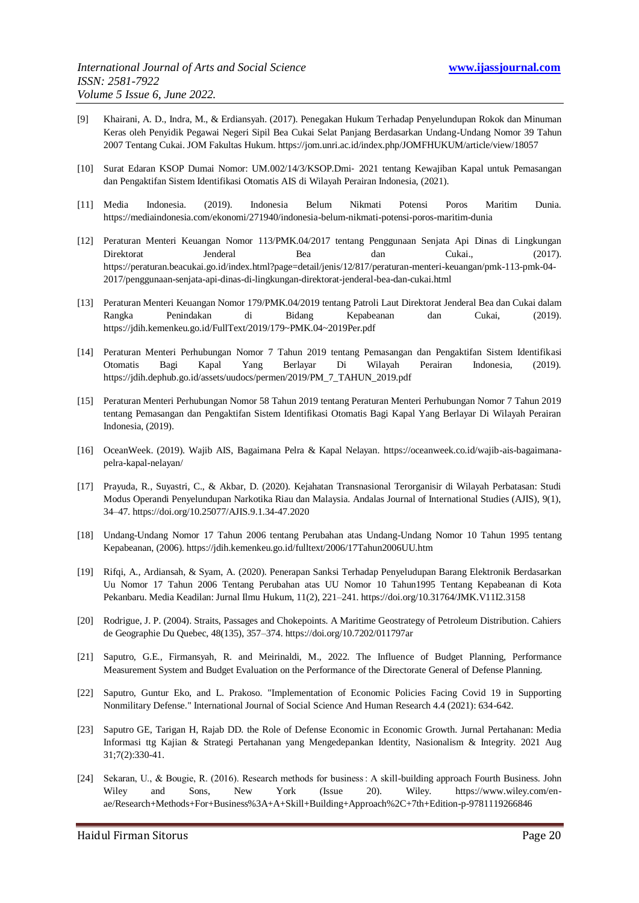- [9] Khairani, A. D., Indra, M., & Erdiansyah. (2017). Penegakan Hukum Terhadap Penyelundupan Rokok dan Minuman Keras oleh Penyidik Pegawai Negeri Sipil Bea Cukai Selat Panjang Berdasarkan Undang-Undang Nomor 39 Tahun 2007 Tentang Cukai. JOM Fakultas Hukum. https://jom.unri.ac.id/index.php/JOMFHUKUM/article/view/18057
- [10] Surat Edaran KSOP Dumai Nomor: UM.002/14/3/KSOP.Dmi‐ 2021 tentang Kewajiban Kapal untuk Pemasangan dan Pengaktifan Sistem Identifikasi Otomatis AIS di Wilayah Perairan Indonesia, (2021).
- [11] Media Indonesia. (2019). Indonesia Belum Nikmati Potensi Poros Maritim Dunia. https://mediaindonesia.com/ekonomi/271940/indonesia-belum-nikmati-potensi-poros-maritim-dunia
- [12] Peraturan Menteri Keuangan Nomor 113/PMK.04/2017 tentang Penggunaan Senjata Api Dinas di Lingkungan Direktorat Jenderal Bea dan Cukai., (2017). https://peraturan.beacukai.go.id/index.html?page=detail/jenis/12/817/peraturan-menteri-keuangan/pmk-113-pmk-04- 2017/penggunaan-senjata-api-dinas-di-lingkungan-direktorat-jenderal-bea-dan-cukai.html
- [13] Peraturan Menteri Keuangan Nomor 179/PMK.04/2019 tentang Patroli Laut Direktorat Jenderal Bea dan Cukai dalam Rangka Penindakan di Bidang Kepabeanan dan Cukai, (2019). https://jdih.kemenkeu.go.id/FullText/2019/179~PMK.04~2019Per.pdf
- [14] Peraturan Menteri Perhubungan Nomor 7 Tahun 2019 tentang Pemasangan dan Pengaktifan Sistem Identifikasi Otomatis Bagi Kapal Yang Berlayar Di Wilayah Perairan Indonesia, (2019). https://jdih.dephub.go.id/assets/uudocs/permen/2019/PM\_7\_TAHUN\_2019.pdf
- [15] Peraturan Menteri Perhubungan Nomor 58 Tahun 2019 tentang Peraturan Menteri Perhubungan Nomor 7 Tahun 2019 tentang Pemasangan dan Pengaktifan Sistem Identifikasi Otomatis Bagi Kapal Yang Berlayar Di Wilayah Perairan Indonesia, (2019).
- [16] OceanWeek. (2019). Wajib AIS, Bagaimana Pelra & Kapal Nelayan. https://oceanweek.co.id/wajib-ais-bagaimanapelra-kapal-nelayan/
- [17] Prayuda, R., Suyastri, C., & Akbar, D. (2020). Kejahatan Transnasional Terorganisir di Wilayah Perbatasan: Studi Modus Operandi Penyelundupan Narkotika Riau dan Malaysia. Andalas Journal of International Studies (AJIS), 9(1), 34–47. https://doi.org/10.25077/AJIS.9.1.34-47.2020
- [18] Undang-Undang Nomor 17 Tahun 2006 tentang Perubahan atas Undang-Undang Nomor 10 Tahun 1995 tentang Kepabeanan, (2006). https://jdih.kemenkeu.go.id/fulltext/2006/17Tahun2006UU.htm
- [19] Rifqi, A., Ardiansah, & Syam, A. (2020). Penerapan Sanksi Terhadap Penyeludupan Barang Elektronik Berdasarkan Uu Nomor 17 Tahun 2006 Tentang Perubahan atas UU Nomor 10 Tahun1995 Tentang Kepabeanan di Kota Pekanbaru. Media Keadilan: Jurnal Ilmu Hukum, 11(2), 221–241. https://doi.org/10.31764/JMK.V11I2.3158
- [20] Rodrigue, J. P. (2004). Straits, Passages and Chokepoints. A Maritime Geostrategy of Petroleum Distribution. Cahiers de Geographie Du Quebec, 48(135), 357–374. https://doi.org/10.7202/011797ar
- [21] Saputro, G.E., Firmansyah, R. and Meirinaldi, M., 2022. The Influence of Budget Planning, Performance Measurement System and Budget Evaluation on the Performance of the Directorate General of Defense Planning.
- [22] Saputro, Guntur Eko, and L. Prakoso. "Implementation of Economic Policies Facing Covid 19 in Supporting Nonmilitary Defense." International Journal of Social Science And Human Research 4.4 (2021): 634-642.
- [23] Saputro GE, Tarigan H, Rajab DD. the Role of Defense Economic in Economic Growth. Jurnal Pertahanan: Media Informasi ttg Kajian & Strategi Pertahanan yang Mengedepankan Identity, Nasionalism & Integrity. 2021 Aug 31;7(2):330-41.
- [24] Sekaran, U., & Bougie, R. (2016). Research methods for business : A skill-building approach Fourth Business. John Wiley and Sons, New York (Issue 20). Wiley. https://www.wiley.com/enae/Research+Methods+For+Business%3A+A+Skill+Building+Approach%2C+7th+Edition-p-9781119266846